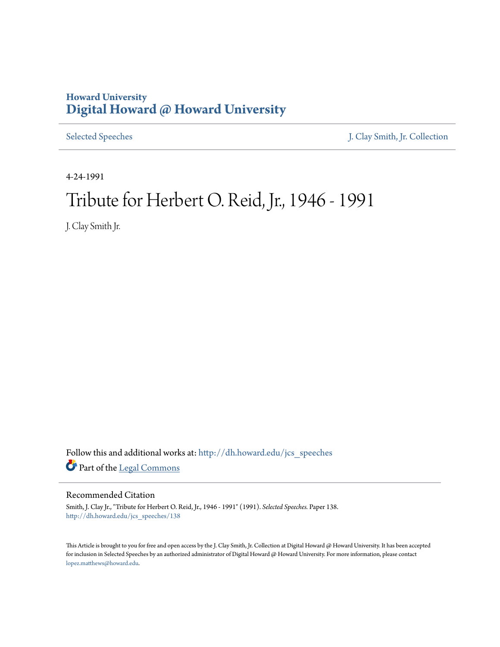## **Howard University [Digital Howard @ Howard University](http://dh.howard.edu?utm_source=dh.howard.edu%2Fjcs_speeches%2F138&utm_medium=PDF&utm_campaign=PDFCoverPages)**

[Selected Speeches](http://dh.howard.edu/jcs_speeches?utm_source=dh.howard.edu%2Fjcs_speeches%2F138&utm_medium=PDF&utm_campaign=PDFCoverPages) [J. Clay Smith, Jr. Collection](http://dh.howard.edu/jcsmith?utm_source=dh.howard.edu%2Fjcs_speeches%2F138&utm_medium=PDF&utm_campaign=PDFCoverPages)

4-24-1991

## Tribute for Herbert O. Reid, Jr., 1946 - 1991

J. Clay Smith Jr.

Follow this and additional works at: [http://dh.howard.edu/jcs\\_speeches](http://dh.howard.edu/jcs_speeches?utm_source=dh.howard.edu%2Fjcs_speeches%2F138&utm_medium=PDF&utm_campaign=PDFCoverPages) Part of the [Legal Commons](http://network.bepress.com/hgg/discipline/502?utm_source=dh.howard.edu%2Fjcs_speeches%2F138&utm_medium=PDF&utm_campaign=PDFCoverPages)

## Recommended Citation

Smith, J. Clay Jr., "Tribute for Herbert O. Reid, Jr., 1946 - 1991" (1991). *Selected Speeches.* Paper 138. [http://dh.howard.edu/jcs\\_speeches/138](http://dh.howard.edu/jcs_speeches/138?utm_source=dh.howard.edu%2Fjcs_speeches%2F138&utm_medium=PDF&utm_campaign=PDFCoverPages)

This Article is brought to you for free and open access by the J. Clay Smith, Jr. Collection at Digital Howard @ Howard University. It has been accepted for inclusion in Selected Speeches by an authorized administrator of Digital Howard @ Howard University. For more information, please contact [lopez.matthews@howard.edu.](mailto:lopez.matthews@howard.edu)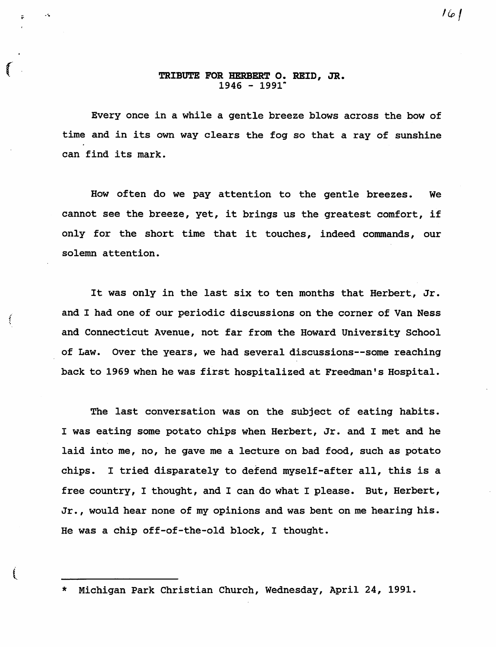## r TRIBUTE FOR HERBERT o. REID, JR.  $1946 - 1991$ <sup>\*</sup>

Every once in a while a gentle breeze blows across the bow of time and in *its* own way clears the fog so that a ray of sunshine can find *its* mark.

How often do we pay attention to the gentle breezes. We cannot see the breeze, yet, it *brings* us the greatest comfort, *if*  only for the short *time* that *it* touches, indeed commands, our solemn attention.

It was only in the last six to ten months that Herbert, Jr. and I had one of our periodic discussions on the corner of Van Ness and Connecticut Avenue, not far from the Howard University school of Law. Over the years, we had several discussions--some reaching back to 1969 when he was first hospitalized at Freedman's Hospital.

ł,

ŧ

The last conversation was on the subject of eating habits. I was eating some potato chips when Herbert, Jr. and I met and he laid into me, no, he gave me a lecture on bad food, such as potato chips. I tried disparately to defend myself-after all, this is a free country, I thought, and I can do what I please. But, Herbert, Jr., would hear none of my opinions and was bent on me hearing his. He was a chip off-of-the-old block, I thought.

Michigan Park Christian Church, Wednesday, April 24, 1991.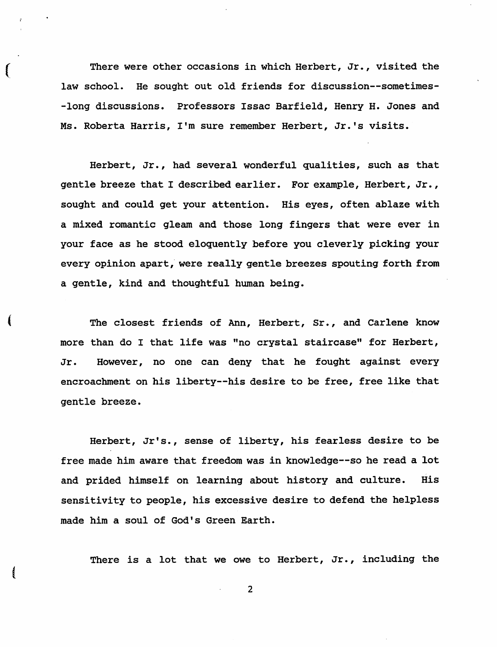There were other occasions in which Herbert, Jr., visited the law school. He sought out old friends for discussion--sometimes- -long discussions. Professors Issac Barfield, Henry H. Jones and Ms. Roberta Harris, I'm sure remember Herbert, Jr.'s visits.

(

(

Herbert, Jr., had several wonderful qualities, such as that gentle breeze that I described earlier. For example, Herbert, Jr., sought and could get your attention. His eyes, often ablaze with a mixed romantic gleam and those long fingers that were ever in your face as he stood eloquently before you cleverly picking your every opinion apart, were really gentle breezes spouting forth from a gentle, kind and thoughtful human being.

The closest friends of Ann, Herbert, Sr., and Carlene know more than do I that life was "no crystal staircase" for Herbert, Jr. However, no one can deny that he fought against every encroachment on his liberty--his desire to be free, free like that gentle breeze.

Herbert, Jr's., sense of liberty, his fearless desire to be free made him aware that freedom was in knowledge--so he read a lot and prided himself on learning about history and culture. His sensitivity to people, his excessive desire to defend the helpless made him a soul of God's Green Earth.

There is a lot that we owe to Herbert, Jr., including the

2